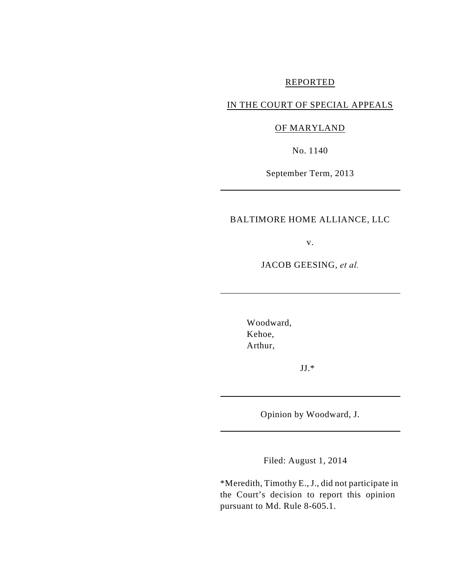### REPORTED

# IN THE COURT OF SPECIAL APPEALS

# OF MARYLAND

No. 1140

September Term, 2013

### BALTIMORE HOME ALLIANCE, LLC

v.

JACOB GEESING, *et al.*

Woodward, Kehoe, Arthur,

JJ.\*

Opinion by Woodward, J.

Filed: August 1, 2014

\*Meredith, Timothy E., J., did not participate in the Court's decision to report this opinion pursuant to Md. Rule 8-605.1.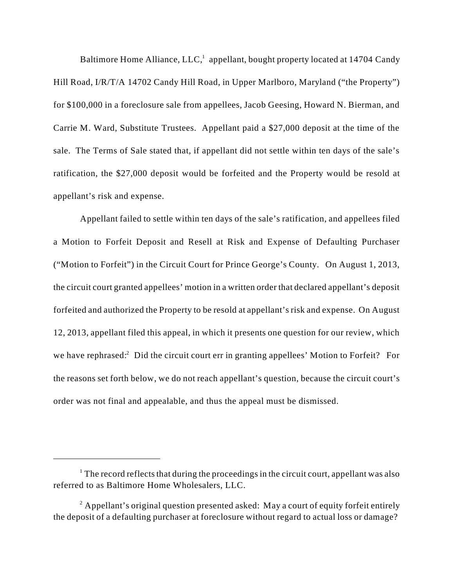Baltimore Home Alliance, LLC, $\frac{1}{2}$  appellant, bought property located at 14704 Candy Hill Road, I/R/T/A 14702 Candy Hill Road, in Upper Marlboro, Maryland ("the Property") for \$100,000 in a foreclosure sale from appellees, Jacob Geesing, Howard N. Bierman, and Carrie M. Ward, Substitute Trustees. Appellant paid a \$27,000 deposit at the time of the sale. The Terms of Sale stated that, if appellant did not settle within ten days of the sale's ratification, the \$27,000 deposit would be forfeited and the Property would be resold at appellant's risk and expense.

Appellant failed to settle within ten days of the sale's ratification, and appellees filed a Motion to Forfeit Deposit and Resell at Risk and Expense of Defaulting Purchaser ("Motion to Forfeit") in the Circuit Court for Prince George's County. On August 1, 2013, the circuit court granted appellees' motion in a written order that declared appellant's deposit forfeited and authorized the Property to be resold at appellant's risk and expense. On August 12, 2013, appellant filed this appeal, in which it presents one question for our review, which we have rephrased: $\hat{ }$  Did the circuit court err in granting appellees' Motion to Forfeit? For the reasons set forth below, we do not reach appellant's question, because the circuit court's order was not final and appealable, and thus the appeal must be dismissed.

 $\frac{1}{1}$ . The record reflects that during the proceedings in the circuit court, appellant was also referred to as Baltimore Home Wholesalers, LLC.

 $^2$  Appellant's original question presented asked: May a court of equity forfeit entirely the deposit of a defaulting purchaser at foreclosure without regard to actual loss or damage?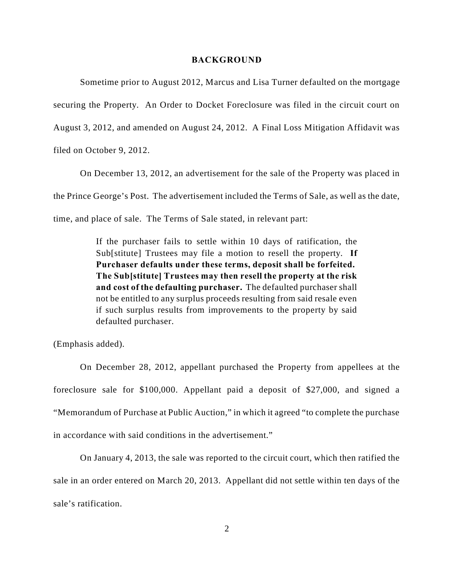#### **BACKGROUND**

Sometime prior to August 2012, Marcus and Lisa Turner defaulted on the mortgage securing the Property. An Order to Docket Foreclosure was filed in the circuit court on August 3, 2012, and amended on August 24, 2012. A Final Loss Mitigation Affidavit was filed on October 9, 2012.

On December 13, 2012, an advertisement for the sale of the Property was placed in the Prince George's Post. The advertisement included the Terms of Sale, as well as the date, time, and place of sale. The Terms of Sale stated, in relevant part:

> If the purchaser fails to settle within 10 days of ratification, the Sub[stitute] Trustees may file a motion to resell the property. **If Purchaser defaults under these terms, deposit shall be forfeited. The Sub[stitute] Trustees may then resell the property at the risk and cost of the defaulting purchaser.** The defaulted purchaser shall not be entitled to any surplus proceeds resulting from said resale even if such surplus results from improvements to the property by said defaulted purchaser.

(Emphasis added).

On December 28, 2012, appellant purchased the Property from appellees at the foreclosure sale for \$100,000. Appellant paid a deposit of \$27,000, and signed a "Memorandum of Purchase at Public Auction," in which it agreed "to complete the purchase in accordance with said conditions in the advertisement."

On January 4, 2013, the sale was reported to the circuit court, which then ratified the sale in an order entered on March 20, 2013. Appellant did not settle within ten days of the sale's ratification.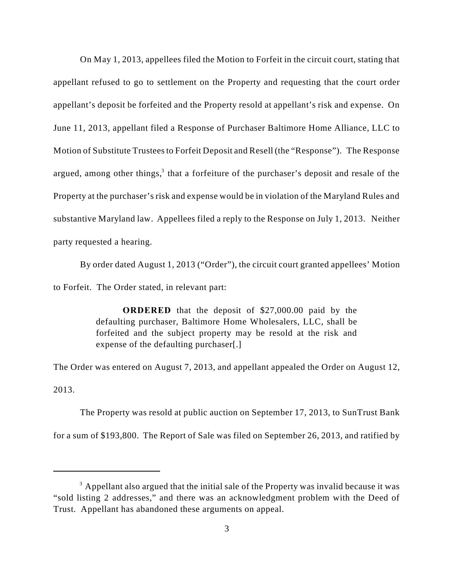On May 1, 2013, appellees filed the Motion to Forfeit in the circuit court, stating that appellant refused to go to settlement on the Property and requesting that the court order appellant's deposit be forfeited and the Property resold at appellant's risk and expense. On June 11, 2013, appellant filed a Response of Purchaser Baltimore Home Alliance, LLC to Motion of Substitute Trustees to Forfeit Deposit and Resell (the "Response"). The Response argued, among other things, $3$  that a forfeiture of the purchaser's deposit and resale of the Property at the purchaser's risk and expense would be in violation of the Maryland Rules and substantive Maryland law. Appellees filed a reply to the Response on July 1, 2013. Neither party requested a hearing.

By order dated August 1, 2013 ("Order"), the circuit court granted appellees' Motion to Forfeit. The Order stated, in relevant part:

> **ORDERED** that the deposit of \$27,000.00 paid by the defaulting purchaser, Baltimore Home Wholesalers, LLC, shall be forfeited and the subject property may be resold at the risk and expense of the defaulting purchaser[.]

The Order was entered on August 7, 2013, and appellant appealed the Order on August 12,

2013.

The Property was resold at public auction on September 17, 2013, to SunTrust Bank for a sum of \$193,800. The Report of Sale was filed on September 26, 2013, and ratified by

 $3$  Appellant also argued that the initial sale of the Property was invalid because it was "sold listing 2 addresses," and there was an acknowledgment problem with the Deed of Trust. Appellant has abandoned these arguments on appeal.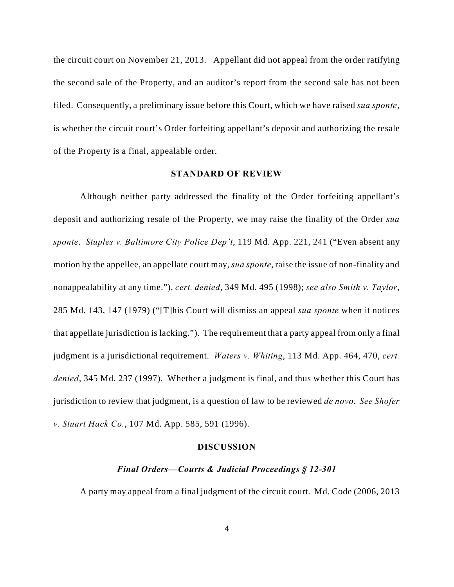the circuit court on November 21, 2013. Appellant did not appeal from the order ratifying the second sale of the Property, and an auditor's report from the second sale has not been filed. Consequently, a preliminary issue before this Court, which we have raised *sua sponte*, is whether the circuit court's Order forfeiting appellant's deposit and authorizing the resale of the Property is a final, appealable order.

### **STANDARD OF REVIEW**

Although neither party addressed the finality of the Order forfeiting appellant's deposit and authorizing resale of the Property, we may raise the finality of the Order *sua sponte*. *Stuples v. Baltimore City Police Dep't*, 119 Md. App. 221, 241 ("Even absent any motion by the appellee, an appellate court may, *sua sponte*, raise the issue of non-finality and nonappealability at any time."), *cert. denied*, 349 Md. 495 (1998); *see also Smith v. Taylor*, 285 Md. 143, 147 (1979) ("[T]his Court will dismiss an appeal *sua sponte* when it notices that appellate jurisdiction is lacking."). The requirement that a party appeal from only a final judgment is a jurisdictional requirement. *Waters v. Whiting*, 113 Md. App. 464, 470, *cert. denied*, 345 Md. 237 (1997). Whether a judgment is final, and thus whether this Court has jurisdiction to review that judgment, is a question of law to be reviewed *de novo*. *See Shofer v. Stuart Hack Co.*, 107 Md. App. 585, 591 (1996).

#### **DISCUSSION**

## *Final Orders—Courts & Judicial Proceedings § 12-301*

A party may appeal from a final judgment of the circuit court. Md. Code (2006, 2013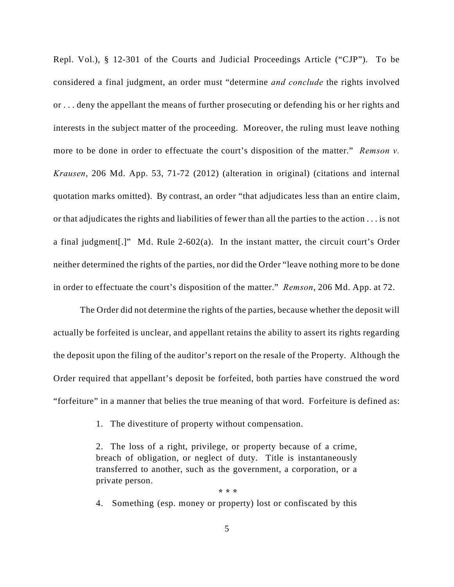Repl. Vol.), § 12-301 of the Courts and Judicial Proceedings Article ("CJP"). To be considered a final judgment, an order must "determine *and conclude* the rights involved or . . . deny the appellant the means of further prosecuting or defending his or her rights and interests in the subject matter of the proceeding. Moreover, the ruling must leave nothing more to be done in order to effectuate the court's disposition of the matter." *Remson v. Krausen*, 206 Md. App. 53, 71-72 (2012) (alteration in original) (citations and internal quotation marks omitted). By contrast, an order "that adjudicates less than an entire claim, or that adjudicates the rights and liabilities of fewer than all the parties to the action . . . is not a final judgment[.]" Md. Rule 2-602(a). In the instant matter, the circuit court's Order neither determined the rights of the parties, nor did the Order "leave nothing more to be done in order to effectuate the court's disposition of the matter." *Remson*, 206 Md. App. at 72.

The Order did not determine the rights of the parties, because whether the deposit will actually be forfeited is unclear, and appellant retains the ability to assert its rights regarding the deposit upon the filing of the auditor's report on the resale of the Property. Although the Order required that appellant's deposit be forfeited, both parties have construed the word "forfeiture" in a manner that belies the true meaning of that word. Forfeiture is defined as:

1. The divestiture of property without compensation.

2. The loss of a right, privilege, or property because of a crime, breach of obligation, or neglect of duty. Title is instantaneously transferred to another, such as the government, a corporation, or a private person.

 **\* \* \*** 4. Something (esp. money or property) lost or confiscated by this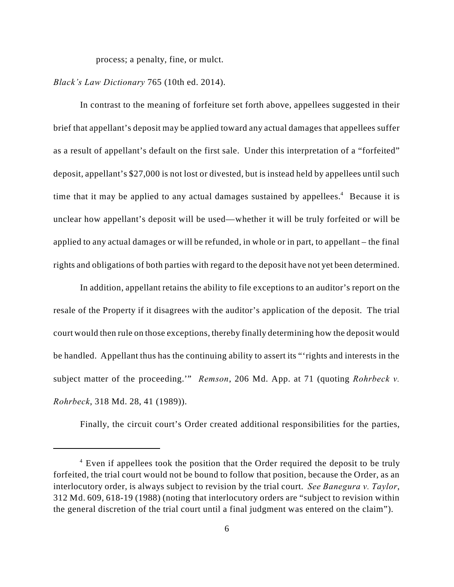process; a penalty, fine, or mulct.

*Black's Law Dictionary* 765 (10th ed. 2014).

In contrast to the meaning of forfeiture set forth above, appellees suggested in their brief that appellant's deposit may be applied toward any actual damages that appellees suffer as a result of appellant's default on the first sale. Under this interpretation of a "forfeited" deposit, appellant's \$27,000 is not lost or divested, but is instead held by appellees until such time that it may be applied to any actual damages sustained by appellees.<sup>4</sup> Because it is unclear how appellant's deposit will be used—whether it will be truly forfeited or will be applied to any actual damages or will be refunded, in whole or in part, to appellant – the final rights and obligations of both parties with regard to the deposit have not yet been determined.

In addition, appellant retains the ability to file exceptions to an auditor's report on the resale of the Property if it disagrees with the auditor's application of the deposit. The trial court would then rule on those exceptions, thereby finally determining how the deposit would be handled. Appellant thus has the continuing ability to assert its "'rights and interests in the subject matter of the proceeding.'" *Remson*, 206 Md. App. at 71 (quoting *Rohrbeck v. Rohrbeck*, 318 Md. 28, 41 (1989)).

Finally, the circuit court's Order created additional responsibilities for the parties,

 $4$  Even if appellees took the position that the Order required the deposit to be truly forfeited, the trial court would not be bound to follow that position, because the Order, as an interlocutory order, is always subject to revision by the trial court. *See Banegura v. Taylor*, 312 Md. 609, 618-19 (1988) (noting that interlocutory orders are "subject to revision within the general discretion of the trial court until a final judgment was entered on the claim").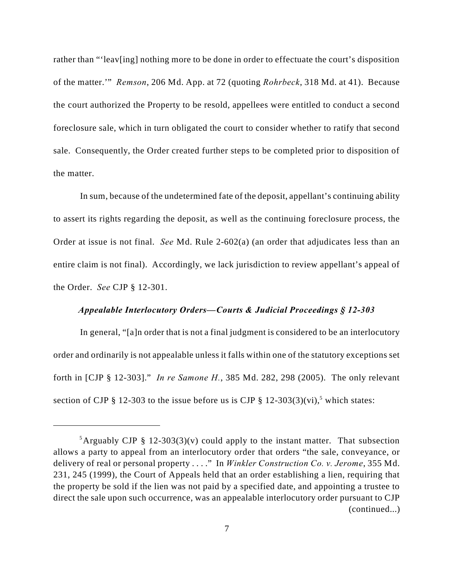rather than "'leav[ing] nothing more to be done in order to effectuate the court's disposition of the matter.'" *Remson*, 206 Md. App. at 72 (quoting *Rohrbeck*, 318 Md. at 41). Because the court authorized the Property to be resold, appellees were entitled to conduct a second foreclosure sale, which in turn obligated the court to consider whether to ratify that second sale. Consequently, the Order created further steps to be completed prior to disposition of the matter.

In sum, because of the undetermined fate of the deposit, appellant's continuing ability to assert its rights regarding the deposit, as well as the continuing foreclosure process, the Order at issue is not final. *See* Md. Rule 2-602(a) (an order that adjudicates less than an entire claim is not final). Accordingly, we lack jurisdiction to review appellant's appeal of the Order. *See* CJP § 12-301.

### *Appealable Interlocutory Orders—Courts & Judicial Proceedings § 12-303*

In general, "[a]n order that is not a final judgment is considered to be an interlocutory order and ordinarily is not appealable unless it falls within one of the statutory exceptions set forth in [CJP § 12-303]." *In re Samone H.*, 385 Md. 282, 298 (2005). The only relevant section of CJP  $\S$  12-303 to the issue before us is CJP  $\S$  12-303(3)(vi),<sup>5</sup> which states:

<sup>&</sup>lt;sup>5</sup>Arguably CJP § 12-303(3)(v) could apply to the instant matter. That subsection allows a party to appeal from an interlocutory order that orders "the sale, conveyance, or delivery of real or personal property . . . ." In *Winkler Construction Co. v. Jerome*, 355 Md. 231, 245 (1999), the Court of Appeals held that an order establishing a lien, requiring that the property be sold if the lien was not paid by a specified date, and appointing a trustee to direct the sale upon such occurrence, was an appealable interlocutory order pursuant to CJP (continued...)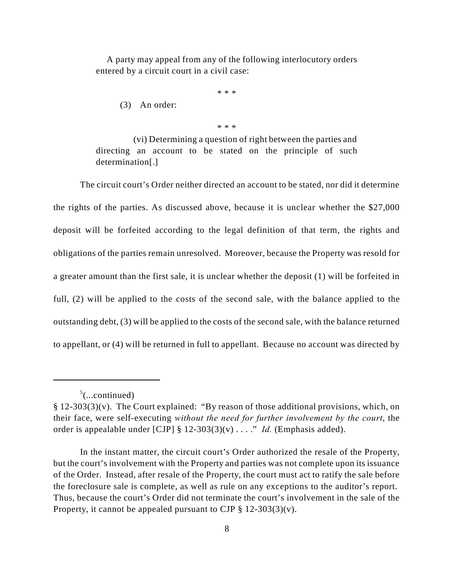A party may appeal from any of the following interlocutory orders entered by a circuit court in a civil case:

\* \* \*

(3) An order:

\* \* \*

(vi) Determining a question of right between the parties and directing an account to be stated on the principle of such determination[.]

The circuit court's Order neither directed an account to be stated, nor did it determine the rights of the parties. As discussed above, because it is unclear whether the \$27,000 deposit will be forfeited according to the legal definition of that term, the rights and obligations of the parties remain unresolved. Moreover, because the Property was resold for a greater amount than the first sale, it is unclear whether the deposit (1) will be forfeited in full, (2) will be applied to the costs of the second sale, with the balance applied to the outstanding debt, (3) will be applied to the costs of the second sale, with the balance returned to appellant, or (4) will be returned in full to appellant. Because no account was directed by

 $5$ (...continued)

<sup>§ 12-303(3)(</sup>v). The Court explained: "By reason of those additional provisions, which, on their face, were self-executing *without the need for further involvement by the court*, the order is appealable under [CJP] § 12-303(3)(v) . . . ." *Id.* (Emphasis added).

In the instant matter, the circuit court's Order authorized the resale of the Property, but the court's involvement with the Property and parties was not complete upon its issuance of the Order. Instead, after resale of the Property, the court must act to ratify the sale before the foreclosure sale is complete, as well as rule on any exceptions to the auditor's report. Thus, because the court's Order did not terminate the court's involvement in the sale of the Property, it cannot be appealed pursuant to CJP  $\S 12-303(3)(v)$ .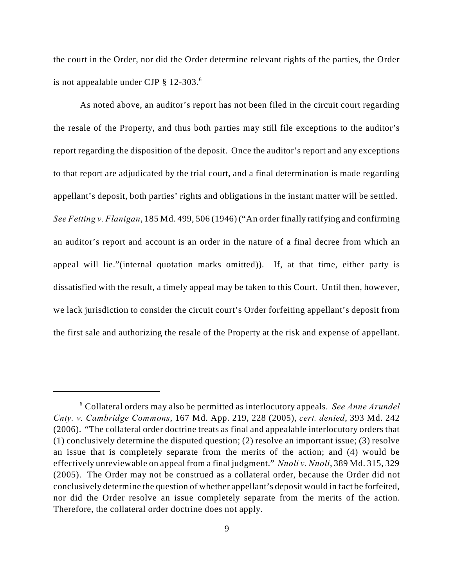the court in the Order, nor did the Order determine relevant rights of the parties, the Order is not appealable under CJP § 12-303. <sup>6</sup>

As noted above, an auditor's report has not been filed in the circuit court regarding the resale of the Property, and thus both parties may still file exceptions to the auditor's report regarding the disposition of the deposit. Once the auditor's report and any exceptions to that report are adjudicated by the trial court, and a final determination is made regarding appellant's deposit, both parties' rights and obligations in the instant matter will be settled. *See Fetting v. Flanigan*, 185 Md. 499, 506 (1946) ("An order finally ratifying and confirming an auditor's report and account is an order in the nature of a final decree from which an appeal will lie."(internal quotation marks omitted)). If, at that time, either party is dissatisfied with the result, a timely appeal may be taken to this Court. Until then, however, we lack jurisdiction to consider the circuit court's Order forfeiting appellant's deposit from the first sale and authorizing the resale of the Property at the risk and expense of appellant.

Collateral orders may also be permitted as interlocutory appeals. *See Anne Arundel* <sup>6</sup> *Cnty. v. Cambridge Commons*, 167 Md. App. 219, 228 (2005), *cert. denied*, 393 Md. 242 (2006). "The collateral order doctrine treats as final and appealable interlocutory orders that (1) conclusively determine the disputed question; (2) resolve an important issue; (3) resolve an issue that is completely separate from the merits of the action; and (4) would be effectively unreviewable on appeal from a final judgment." *Nnoli v. Nnoli*, 389 Md. 315, 329 (2005). The Order may not be construed as a collateral order, because the Order did not conclusively determine the question of whether appellant's deposit would in fact be forfeited, nor did the Order resolve an issue completely separate from the merits of the action. Therefore, the collateral order doctrine does not apply.